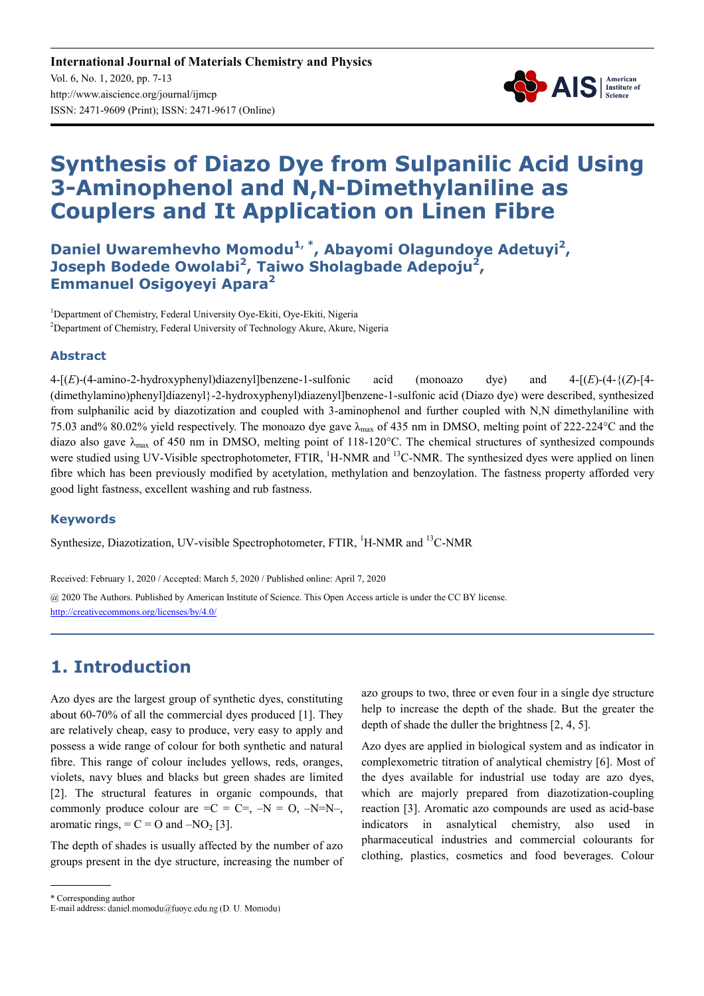

# **Synthesis of Diazo Dye from Sulpanilic Acid Using 3-Aminophenol and N,N-Dimethylaniline as Couplers and It Application on Linen Fibre**

**Daniel Uwaremhevho Momodu1, \*, Abayomi Olagundoye Adetuyi<sup>2</sup> , Joseph Bodede Owolabi<sup>2</sup> , Taiwo Sholagbade Adepoju<sup>2</sup> , Emmanuel Osigoyeyi Apara<sup>2</sup>**

<sup>1</sup>Department of Chemistry, Federal University Oye-Ekiti, Oye-Ekiti, Nigeria <sup>2</sup>Department of Chemistry, Federal University of Technology Akure, Akure, Nigeria

#### **Abstract**

4-[(*E*)-(4-amino-2-hydroxyphenyl)diazenyl]benzene-1-sulfonic acid (monoazo dye) and 4-[(*E*)-(4-{(*Z*)-[4- (dimethylamino)phenyl]diazenyl}-2-hydroxyphenyl)diazenyl]benzene-1-sulfonic acid (Diazo dye) were described, synthesized from sulphanilic acid by diazotization and coupled with 3-aminophenol and further coupled with N,N dimethylaniline with 75.03 and% 80.02% yield respectively. The monoazo dye gave λmax of 435 nm in DMSO, melting point of 222-224°C and the diazo also gave  $\lambda_{\text{max}}$  of 450 nm in DMSO, melting point of 118-120°C. The chemical structures of synthesized compounds were studied using UV-Visible spectrophotometer, FTIR, <sup>1</sup>H-NMR and <sup>13</sup>C-NMR. The synthesized dyes were applied on linen fibre which has been previously modified by acetylation, methylation and benzoylation. The fastness property afforded very good light fastness, excellent washing and rub fastness.

#### **Keywords**

Synthesize, Diazotization, UV-visible Spectrophotometer, FTIR,  ${}^{1}$ H-NMR and  ${}^{13}$ C-NMR

Received: February 1, 2020 / Accepted: March 5, 2020 / Published online: April 7, 2020

@ 2020 The Authors. Published by American Institute of Science. This Open Access article is under the CC BY license. http://creativecommons.org/licenses/by/4.0/

# **1. Introduction**

Azo dyes are the largest group of synthetic dyes, constituting about 60-70% of all the commercial dyes produced [1]. They are relatively cheap, easy to produce, very easy to apply and possess a wide range of colour for both synthetic and natural fibre. This range of colour includes yellows, reds, oranges, violets, navy blues and blacks but green shades are limited [2]. The structural features in organic compounds, that commonly produce colour are  $=C = C =$ ,  $-N = 0$ ,  $-N=N$ , aromatic rings,  $= C = O$  and  $-NO<sub>2</sub>[3]$ .

The depth of shades is usually affected by the number of azo groups present in the dye structure, increasing the number of azo groups to two, three or even four in a single dye structure help to increase the depth of the shade. But the greater the depth of shade the duller the brightness [2, 4, 5].

Azo dyes are applied in biological system and as indicator in complexometric titration of analytical chemistry [6]. Most of the dyes available for industrial use today are azo dyes, which are majorly prepared from diazotization-coupling reaction [3]. Aromatic azo compounds are used as acid-base indicators in asnalytical chemistry, also used in pharmaceutical industries and commercial colourants for clothing, plastics, cosmetics and food beverages. Colour

<sup>\*</sup> Corresponding author

E-mail address: daniel.momodu@fuoye.edu.ng (D. U. Momodu)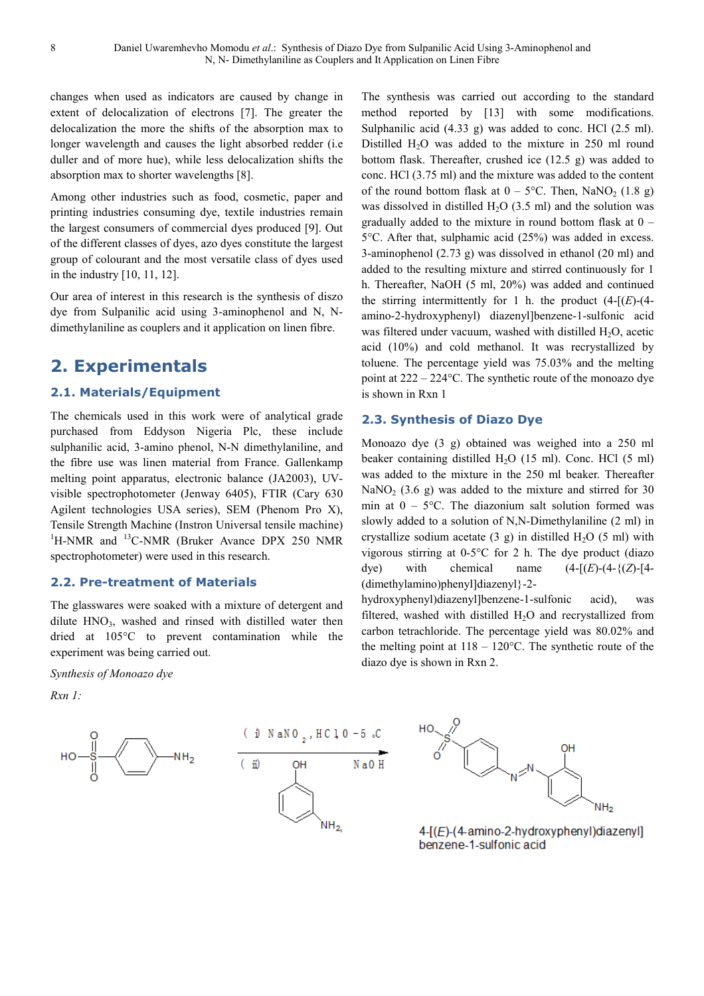changes when used as indicators are caused by change in extent of delocalization of electrons [7]. The greater the delocalization the more the shifts of the absorption max to longer wavelength and causes the light absorbed redder (i.e duller and of more hue), while less delocalization shifts the absorption max to shorter wavelengths [8].

Among other industries such as food, cosmetic, paper and printing industries consuming dye, textile industries remain the largest consumers of commercial dyes produced [9]. Out of the different classes of dyes, azo dyes constitute the largest group of colourant and the most versatile class of dyes used in the industry [10, 11, 12].

Our area of interest in this research is the synthesis of diszo dye from Sulpanilic acid using 3-aminophenol and N, Ndimethylaniline as couplers and it application on linen fibre.

# **2. Experimentals**

#### **2.1. Materials/Equipment**

The chemicals used in this work were of analytical grade purchased from Eddyson Nigeria Plc, these include sulphanilic acid, 3-amino phenol, N-N dimethylaniline, and the fibre use was linen material from France. Gallenkamp melting point apparatus, electronic balance (JA2003), UVvisible spectrophotometer (Jenway 6405), FTIR (Cary 630 Agilent technologies USA series), SEM (Phenom Pro X), Tensile Strength Machine (Instron Universal tensile machine)  $1$ H-NMR and  $13$ C-NMR (Bruker Avance DPX 250 NMR spectrophotometer) were used in this research.

#### **2.2. Pre-treatment of Materials**

The glasswares were soaked with a mixture of detergent and dilute  $HNO<sub>3</sub>$ , washed and rinsed with distilled water then dried at 105°C to prevent contamination while the experiment was being carried out.

*Synthesis of Monoazo dye* 

*Rxn 1:* 





The synthesis was carried out according to the standard method reported by [13] with some modifications. Sulphanilic acid (4.33 g) was added to conc. HCl (2.5 ml). Distilled  $H_2O$  was added to the mixture in 250 ml round bottom flask. Thereafter, crushed ice (12.5 g) was added to conc. HCl (3.75 ml) and the mixture was added to the content of the round bottom flask at  $0 - 5$ °C. Then, NaNO<sub>2</sub> (1.8 g) was dissolved in distilled  $H<sub>2</sub>O$  (3.5 ml) and the solution was gradually added to the mixture in round bottom flask at 0 – 5°C. After that, sulphamic acid (25%) was added in excess. 3-aminophenol (2.73 g) was dissolved in ethanol (20 ml) and added to the resulting mixture and stirred continuously for 1 h. Thereafter, NaOH (5 ml, 20%) was added and continued the stirring intermittently for 1 h. the product  $(4-[E)-(4-1])$ amino-2-hydroxyphenyl) diazenyl]benzene-1-sulfonic acid was filtered under vacuum, washed with distilled  $H_2O$ , acetic acid (10%) and cold methanol. It was recrystallized by toluene. The percentage yield was 75.03% and the melting point at 222 – 224°C. The synthetic route of the monoazo dye is shown in Rxn 1

#### **2.3. Synthesis of Diazo Dye**

Monoazo dye (3 g) obtained was weighed into a 250 ml beaker containing distilled H<sub>2</sub>O (15 ml). Conc. HCl (5 ml) was added to the mixture in the 250 ml beaker. Thereafter NaNO<sub>2</sub> (3.6 g) was added to the mixture and stirred for 30 min at  $0 - 5^{\circ}$ C. The diazonium salt solution formed was slowly added to a solution of N,N-Dimethylaniline (2 ml) in crystallize sodium acetate (3 g) in distilled  $H_2O$  (5 ml) with vigorous stirring at 0-5°C for 2 h. The dye product (diazo dye) with chemical name  $(4-[E)-(4-{(Z)}-[4-])$ (dimethylamino)phenyl]diazenyl}-2-

hydroxyphenyl)diazenyl]benzene-1-sulfonic acid), was filtered, washed with distilled  $H_2O$  and recrystallized from carbon tetrachloride. The percentage yield was 80.02% and the melting point at  $118 - 120^{\circ}$ C. The synthetic route of the diazo dye is shown in Rxn 2.



4-[(E)-(4-amino-2-hydroxyphenyl)diazenyl] benzene-1-sulfonic acid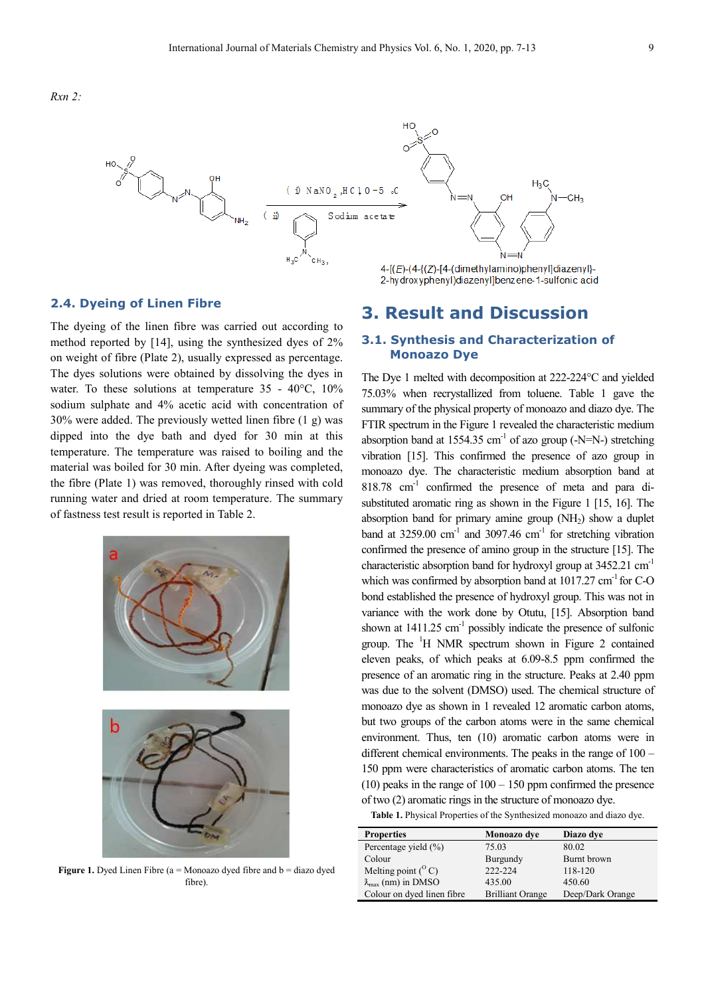

#### **2.4. Dyeing of Linen Fibre**

The dyeing of the linen fibre was carried out according to method reported by [14], using the synthesized dyes of 2% on weight of fibre (Plate 2), usually expressed as percentage. The dyes solutions were obtained by dissolving the dyes in water. To these solutions at temperature 35 - 40°C, 10% sodium sulphate and 4% acetic acid with concentration of 30% were added. The previously wetted linen fibre (1 g) was dipped into the dye bath and dyed for 30 min at this temperature. The temperature was raised to boiling and the material was boiled for 30 min. After dyeing was completed, the fibre (Plate 1) was removed, thoroughly rinsed with cold running water and dried at room temperature. The summary of fastness test result is reported in Table 2.



**Figure 1.** Dyed Linen Fibre ( $a = Monoazo$  dyed fibre and  $b = diazo$  dyed fibre)

# **3. Result and Discussion**

#### **3.1. Synthesis and Characterization of Monoazo Dye**

The Dye 1 melted with decomposition at 222-224°C and yielded 75.03% when recrystallized from toluene. Table 1 gave the summary of the physical property of monoazo and diazo dye. The FTIR spectrum in the Figure 1 revealed the characteristic medium absorption band at 1554.35 cm<sup>-1</sup> of azo group (-N=N-) stretching vibration [15]. This confirmed the presence of azo group in monoazo dye. The characteristic medium absorption band at 818.78 cm-1 confirmed the presence of meta and para disubstituted aromatic ring as shown in the Figure 1 [15, 16]. The absorption band for primary amine group  $(NH<sub>2</sub>)$  show a duplet band at  $3259.00 \text{ cm}^{-1}$  and  $3097.46 \text{ cm}^{-1}$  for stretching vibration confirmed the presence of amino group in the structure [15]. The characteristic absorption band for hydroxyl group at 3452.21 cm-1 which was confirmed by absorption band at  $1017.27 \text{ cm}^{-1}$  for C-O bond established the presence of hydroxyl group. This was not in variance with the work done by Otutu, [15]. Absorption band shown at  $1411.25$  cm<sup>-1</sup> possibly indicate the presence of sulfonic group. The  $H$  NMR spectrum shown in Figure 2 contained eleven peaks, of which peaks at 6.09-8.5 ppm confirmed the presence of an aromatic ring in the structure. Peaks at 2.40 ppm was due to the solvent (DMSO) used. The chemical structure of monoazo dye as shown in 1 revealed 12 aromatic carbon atoms, but two groups of the carbon atoms were in the same chemical environment. Thus, ten (10) aromatic carbon atoms were in different chemical environments. The peaks in the range of 100 – 150 ppm were characteristics of aromatic carbon atoms. The ten  $(10)$  peaks in the range of  $100 - 150$  ppm confirmed the presence of two (2) aromatic rings in the structure of monoazo dye.

**Table 1.** Physical Properties of the Synthesized monoazo and diazo dye.

| <b>Properties</b>                   | Monoazo dye             | Diazo dye        |  |  |
|-------------------------------------|-------------------------|------------------|--|--|
| Percentage yield $(\% )$            | 75.03                   | 80.02            |  |  |
| Colour                              | Burgundy                | Burnt brown      |  |  |
| Melting point $(^{\circ}C)$         | 222-224                 | 118-120          |  |  |
| $\lambda_{\text{max}}$ (nm) in DMSO | 435.00                  | 450.60           |  |  |
| Colour on dyed linen fibre          | <b>Brilliant Orange</b> | Deep/Dark Orange |  |  |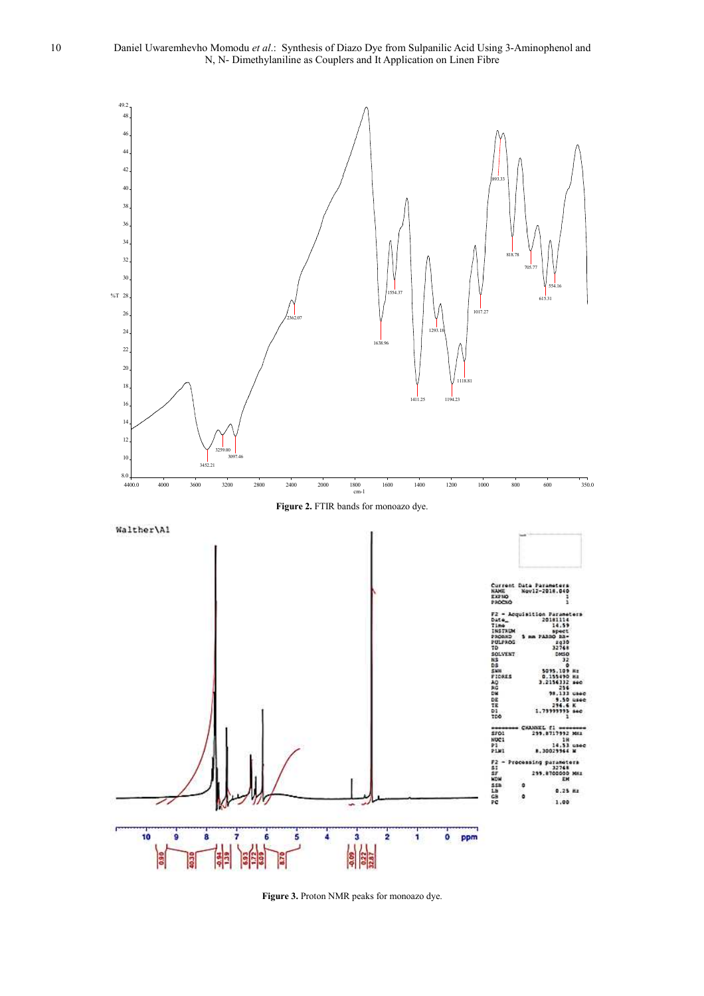10 Daniel Uwaremhevho Momodu *et al*.: Synthesis of Diazo Dye from Sulpanilic Acid Using 3-Aminophenol and N, N- Dimethylaniline as Couplers and It Application on Linen Fibre



**Figure 3.** Proton NMR peaks for monoazo dye.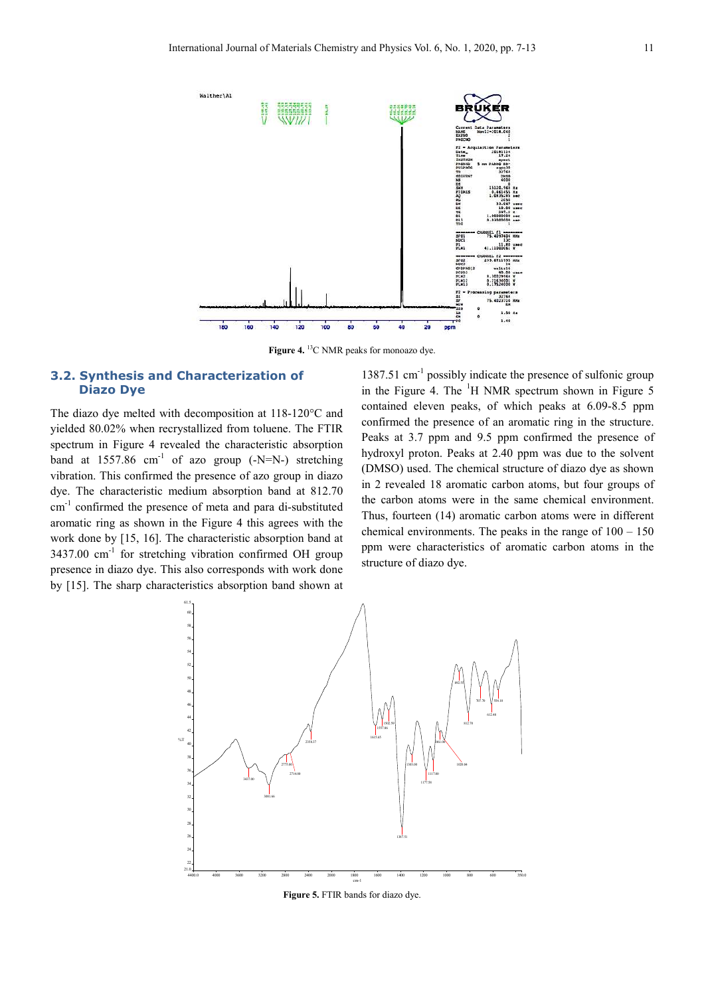

Figure 4. <sup>13</sup>C NMR peaks for monoazo dye.

#### **3.2. Synthesis and Characterization of Diazo Dye**

The diazo dye melted with decomposition at 118-120°C and yielded 80.02% when recrystallized from toluene. The FTIR spectrum in Figure 4 revealed the characteristic absorption band at  $1557.86$  cm<sup>-1</sup> of azo group (-N=N-) stretching vibration. This confirmed the presence of azo group in diazo dye. The characteristic medium absorption band at 812.70 cm-1 confirmed the presence of meta and para di-substituted aromatic ring as shown in the Figure 4 this agrees with the work done by [15, 16]. The characteristic absorption band at  $3437.00$  cm<sup>-1</sup> for stretching vibration confirmed OH group presence in diazo dye. This also corresponds with work done by [15]. The sharp characteristics absorption band shown at

 $1387.51$  cm<sup>-1</sup> possibly indicate the presence of sulfonic group in the Figure 4. The  ${}^{1}$ H NMR spectrum shown in Figure 5 contained eleven peaks, of which peaks at 6.09-8.5 ppm confirmed the presence of an aromatic ring in the structure. Peaks at 3.7 ppm and 9.5 ppm confirmed the presence of hydroxyl proton. Peaks at 2.40 ppm was due to the solvent (DMSO) used. The chemical structure of diazo dye as shown in 2 revealed 18 aromatic carbon atoms, but four groups of the carbon atoms were in the same chemical environment. Thus, fourteen (14) aromatic carbon atoms were in different chemical environments. The peaks in the range of  $100 - 150$ ppm were characteristics of aromatic carbon atoms in the structure of diazo dye.



**Figure 5.** FTIR bands for diazo dye.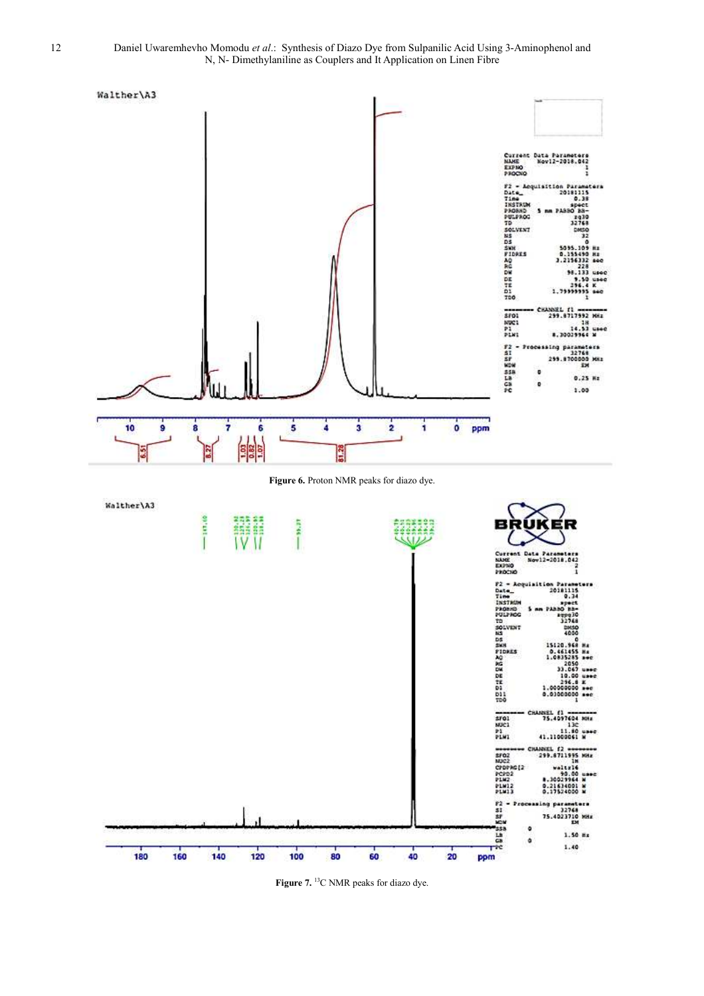

Figure 7. <sup>13</sup>C NMR peaks for diazo dye.